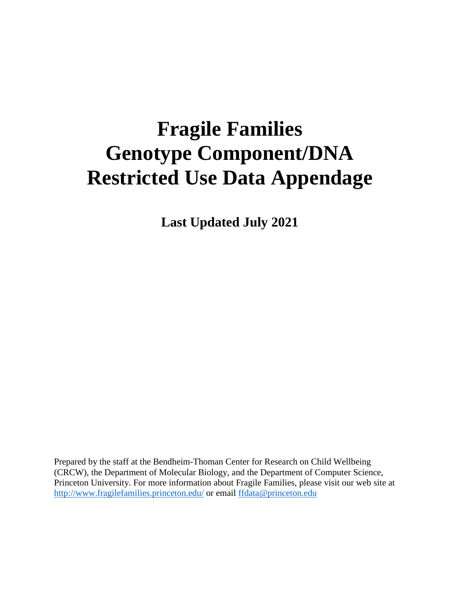# **Fragile Families Genotype Component/DNA Restricted Use Data Appendage**

**Last Updated July 2021**

Prepared by the staff at the Bendheim-Thoman Center for Research on Child Wellbeing (CRCW), the Department of Molecular Biology, and the Department of Computer Science, Princeton University. For more information about Fragile Families, please visit our web site at <http://www.fragilefamilies.princeton.edu/> or email [ffdata@princeton.edu](mailto:ffdata@princeton.edu)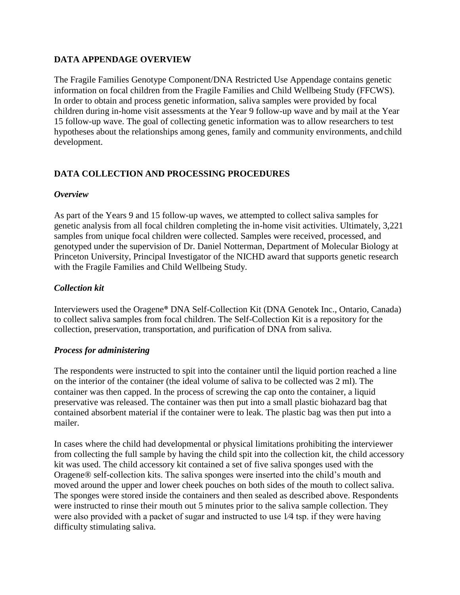### **DATA APPENDAGE OVERVIEW**

The Fragile Families Genotype Component/DNA Restricted Use Appendage contains genetic information on focal children from the Fragile Families and Child Wellbeing Study (FFCWS). In order to obtain and process genetic information, saliva samples were provided by focal children during in-home visit assessments at the Year 9 follow-up wave and by mail at the Year 15 follow-up wave. The goal of collecting genetic information was to allow researchers to test hypotheses about the relationships among genes, family and community environments, andchild development.

# **DATA COLLECTION AND PROCESSING PROCEDURES**

## *Overview*

As part of the Years 9 and 15 follow-up waves, we attempted to collect saliva samples for genetic analysis from all focal children completing the in-home visit activities. Ultimately, 3,221 samples from unique focal children were collected. Samples were received, processed, and genotyped under the supervision of Dr. Daniel Notterman, Department of Molecular Biology at Princeton University, Principal Investigator of the NICHD award that supports genetic research with the Fragile Families and Child Wellbeing Study.

# *Collection kit*

Interviewers used the Oragene® DNA Self-Collection Kit (DNA Genotek Inc., Ontario, Canada) to collect saliva samples from focal children. The Self-Collection Kit is a repository for the collection, preservation, transportation, and purification of DNA from saliva.

# *Process for administering*

The respondents were instructed to spit into the container until the liquid portion reached a line on the interior of the container (the ideal volume of saliva to be collected was 2 ml). The container was then capped. In the process of screwing the cap onto the container, a liquid preservative was released. The container was then put into a small plastic biohazard bag that contained absorbent material if the container were to leak. The plastic bag was then put into a mailer.

In cases where the child had developmental or physical limitations prohibiting the interviewer from collecting the full sample by having the child spit into the collection kit, the child accessory kit was used. The child accessory kit contained a set of five saliva sponges used with the Oragene® self-collection kits. The saliva sponges were inserted into the child's mouth and moved around the upper and lower cheek pouches on both sides of the mouth to collect saliva. The sponges were stored inside the containers and then sealed as described above. Respondents were instructed to rinse their mouth out 5 minutes prior to the saliva sample collection. They were also provided with a packet of sugar and instructed to use 1⁄4 tsp. if they were having difficulty stimulating saliva.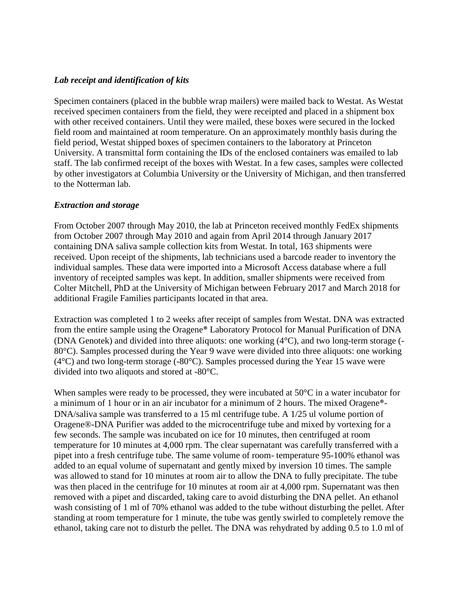#### *Lab receipt and identification of kits*

Specimen containers (placed in the bubble wrap mailers) were mailed back to Westat. As Westat received specimen containers from the field, they were receipted and placed in a shipment box with other received containers. Until they were mailed, these boxes were secured in the locked field room and maintained at room temperature. On an approximately monthly basis during the field period, Westat shipped boxes of specimen containers to the laboratory at Princeton University. A transmittal form containing the IDs of the enclosed containers was emailed to lab staff. The lab confirmed receipt of the boxes with Westat. In a few cases, samples were collected by other investigators at Columbia University or the University of Michigan, and then transferred to the Notterman lab.

#### *Extraction and storage*

From October 2007 through May 2010, the lab at Princeton received monthly FedEx shipments from October 2007 through May 2010 and again from April 2014 through January 2017 containing DNA saliva sample collection kits from Westat. In total, 163 shipments were received. Upon receipt of the shipments, lab technicians used a barcode reader to inventory the individual samples. These data were imported into a Microsoft Access database where a full inventory of receipted samples was kept. In addition, smaller shipments were received from Colter Mitchell, PhD at the University of Michigan between February 2017 and March 2018 for additional Fragile Families participants located in that area.

Extraction was completed 1 to 2 weeks after receipt of samples from Westat. DNA was extracted from the entire sample using the Oragene® Laboratory Protocol for Manual Purification of DNA (DNA Genotek) and divided into three aliquots: one working (4°C), and two long-term storage (- 80°C). Samples processed during the Year 9 wave were divided into three aliquots: one working (4°C) and two long-term storage (-80°C). Samples processed during the Year 15 wave were divided into two aliquots and stored at -80°C.

When samples were ready to be processed, they were incubated at 50<sup>o</sup>C in a water incubator for a minimum of 1 hour or in an air incubator for a minimum of 2 hours. The mixed Oragene®- DNA/saliva sample was transferred to a 15 ml centrifuge tube. A 1/25 ul volume portion of Oragene®-DNA Purifier was added to the microcentrifuge tube and mixed by vortexing for a few seconds. The sample was incubated on ice for 10 minutes, then centrifuged at room temperature for 10 minutes at 4,000 rpm. The clear supernatant was carefully transferred with a pipet into a fresh centrifuge tube. The same volume of room- temperature 95-100% ethanol was added to an equal volume of supernatant and gently mixed by inversion 10 times. The sample was allowed to stand for 10 minutes at room air to allow the DNA to fully precipitate. The tube was then placed in the centrifuge for 10 minutes at room air at 4,000 rpm. Supernatant was then removed with a pipet and discarded, taking care to avoid disturbing the DNA pellet. An ethanol wash consisting of 1 ml of 70% ethanol was added to the tube without disturbing the pellet. After standing at room temperature for 1 minute, the tube was gently swirled to completely remove the ethanol, taking care not to disturb the pellet. The DNA was rehydrated by adding 0.5 to 1.0 ml of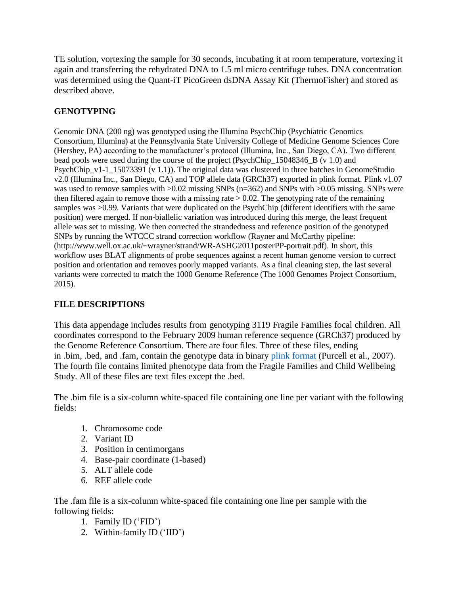TE solution, vortexing the sample for 30 seconds, incubating it at room temperature, vortexing it again and transferring the rehydrated DNA to 1.5 ml micro centrifuge tubes. DNA concentration was determined using the Quant-iT PicoGreen dsDNA Assay Kit (ThermoFisher) and stored as described above.

## **GENOTYPING**

Genomic DNA (200 ng) was genotyped using the Illumina PsychChip (Psychiatric Genomics Consortium, Illumina) at the Pennsylvania State University College of Medicine Genome Sciences Core (Hershey, PA) according to the manufacturer's protocol (Illumina, Inc., San Diego, CA). Two different bead pools were used during the course of the project (PsychChip\_15048346\_B (v 1.0) and PsychChip v1-1  $15073391$  (v 1.1)). The original data was clustered in three batches in GenomeStudio v2.0 (Illumina Inc., San Diego, CA) and TOP allele data (GRCh37) exported in plink format. Plink v1.07 was used to remove samples with  $>0.02$  missing SNPs (n=362) and SNPs with  $>0.05$  missing. SNPs were then filtered again to remove those with a missing rate  $> 0.02$ . The genotyping rate of the remaining samples was >0.99. Variants that were duplicated on the PsychChip (different identifiers with the same position) were merged. If non-biallelic variation was introduced during this merge, the least frequent allele was set to missing. We then corrected the strandedness and reference position of the genotyped SNPs by running the WTCCC strand correction workflow (Rayner and McCarthy pipeline: [\(http://www.well.ox.ac.uk/~wrayner/strand/WR-ASHG2011posterPP-portrait.pdf\). I](http://www.well.ox.ac.uk/~wrayner/strand/WR-ASHG2011posterPP-portrait.pdf))n short, this workflow uses BLAT alignments of probe sequences against a recent human genome version to correct position and orientation and removes poorly mapped variants. As a final cleaning step, the last several variants were corrected to match the 1000 Genome Reference (The 1000 Genomes Project Consortium, 2015).

# **FILE DESCRIPTIONS**

This data appendage includes results from genotyping 3119 Fragile Families focal children. All coordinates correspond to the February 2009 human reference sequence (GRCh37) produced by the Genome Reference Consortium. There are four files. Three of these files, ending in .bim, .bed, and .fam, contain the genotype data in binary plink format [\(Purcell et al., 2](http://zzz.bwh.harvard.edu/plink/data.shtml)007). The fourth file contains limited phenotype data from the Fragile Families and Child Wellbeing Study. All of these files are text files except the .bed.

The .bim file is a six-column white-spaced file containing one line per variant with the following fields:

- 1. Chromosome code
- 2. Variant ID
- 3. Position in centimorgans
- 4. Base-pair coordinate (1-based)
- 5. ALT allele code
- 6. REF allele code

The .fam file is a six-column white-spaced file containing one line per sample with the following fields:

- 1. Family ID ('FID')
- 2. Within-family ID ('IID')